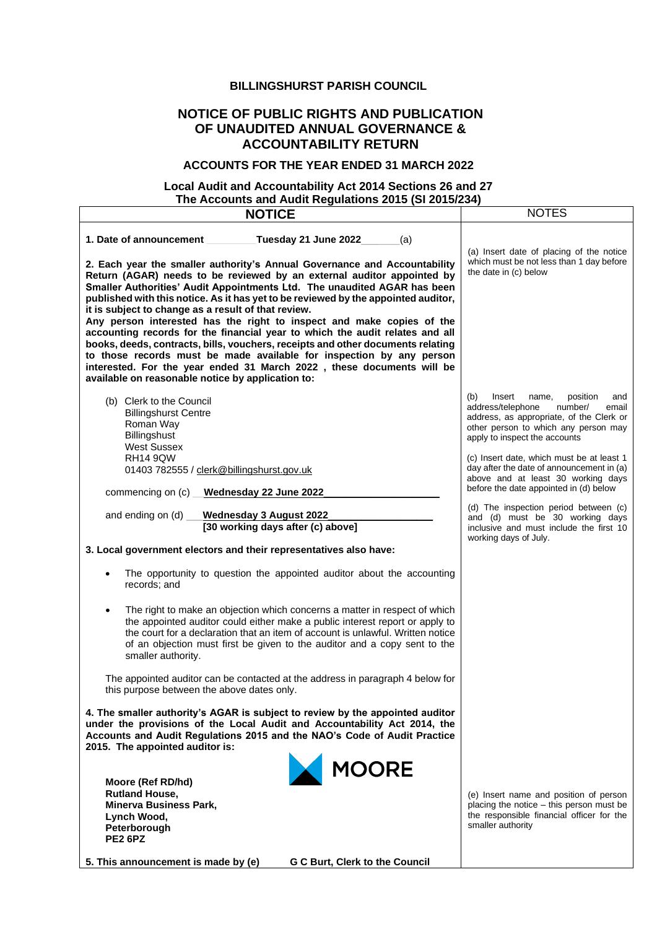#### **BILLINGSHURST PARISH COUNCIL**

## **NOTICE OF PUBLIC RIGHTS AND PUBLICATION OF UNAUDITED ANNUAL GOVERNANCE & ACCOUNTABILITY RETURN**

#### **ACCOUNTS FOR THE YEAR ENDED 31 MARCH 2022**

## **Local Audit and Accountability Act 2014 Sections 26 and 27 The Accounts and Audit Regulations 2015 (SI 2015/234)**

| <b>NOTICE</b>                                                                                                                                                                                                                                                                                                                                                                                                                                                                                                                                                                                                                                                                                                                                                                                                                                                                            | <b>NOTES</b>                                                                                                                                                                                                                                                                                                                                                                      |
|------------------------------------------------------------------------------------------------------------------------------------------------------------------------------------------------------------------------------------------------------------------------------------------------------------------------------------------------------------------------------------------------------------------------------------------------------------------------------------------------------------------------------------------------------------------------------------------------------------------------------------------------------------------------------------------------------------------------------------------------------------------------------------------------------------------------------------------------------------------------------------------|-----------------------------------------------------------------------------------------------------------------------------------------------------------------------------------------------------------------------------------------------------------------------------------------------------------------------------------------------------------------------------------|
| 1. Date of announcement<br>Tuesday 21 June 2022<br>(a)<br>2. Each year the smaller authority's Annual Governance and Accountability<br>Return (AGAR) needs to be reviewed by an external auditor appointed by<br>Smaller Authorities' Audit Appointments Ltd. The unaudited AGAR has been<br>published with this notice. As it has yet to be reviewed by the appointed auditor,<br>it is subject to change as a result of that review.<br>Any person interested has the right to inspect and make copies of the<br>accounting records for the financial year to which the audit relates and all<br>books, deeds, contracts, bills, vouchers, receipts and other documents relating<br>to those records must be made available for inspection by any person<br>interested. For the year ended 31 March 2022, these documents will be<br>available on reasonable notice by application to: | (a) Insert date of placing of the notice<br>which must be not less than 1 day before<br>the date in (c) below                                                                                                                                                                                                                                                                     |
| (b) Clerk to the Council<br><b>Billingshurst Centre</b><br>Roman Way<br>Billingshust<br><b>West Sussex</b><br><b>RH14 9QW</b><br>01403 782555 / clerk@billingshurst.gov.uk<br>Wednesday 22 June 2022<br>commencing on $(c)$ $\_\_$                                                                                                                                                                                                                                                                                                                                                                                                                                                                                                                                                                                                                                                       | (b)<br>Insert<br>position<br>name,<br>and<br>address/telephone<br>number/<br>email<br>address, as appropriate, of the Clerk or<br>other person to which any person may<br>apply to inspect the accounts<br>(c) Insert date, which must be at least 1<br>day after the date of announcement in (a)<br>above and at least 30 working days<br>before the date appointed in (d) below |
| and ending on (d)<br><b>Wednesday 3 August 2022</b><br>[30 working days after (c) above]<br>3. Local government electors and their representatives also have:<br>The opportunity to question the appointed auditor about the accounting<br>records; and<br>The right to make an objection which concerns a matter in respect of which                                                                                                                                                                                                                                                                                                                                                                                                                                                                                                                                                    | (d) The inspection period between (c)<br>and (d) must be 30 working days<br>inclusive and must include the first 10<br>working days of July.                                                                                                                                                                                                                                      |
| the appointed auditor could either make a public interest report or apply to<br>the court for a declaration that an item of account is unlawful. Written notice<br>of an objection must first be given to the auditor and a copy sent to the<br>smaller authority.<br>The appointed auditor can be contacted at the address in paragraph 4 below for<br>this purpose between the above dates only.<br>4. The smaller authority's AGAR is subject to review by the appointed auditor<br>under the provisions of the Local Audit and Accountability Act 2014, the<br>Accounts and Audit Regulations 2015 and the NAO's Code of Audit Practice                                                                                                                                                                                                                                              |                                                                                                                                                                                                                                                                                                                                                                                   |
| 2015. The appointed auditor is:<br>MOORE<br>Moore (Ref RD/hd)<br><b>Rutland House,</b><br><b>Minerva Business Park,</b><br>Lynch Wood,<br>Peterborough<br><b>PE2 6PZ</b><br>5. This announcement is made by (e)<br>G C Burt, Clerk to the Council                                                                                                                                                                                                                                                                                                                                                                                                                                                                                                                                                                                                                                        | (e) Insert name and position of person<br>placing the notice – this person must be<br>the responsible financial officer for the<br>smaller authority                                                                                                                                                                                                                              |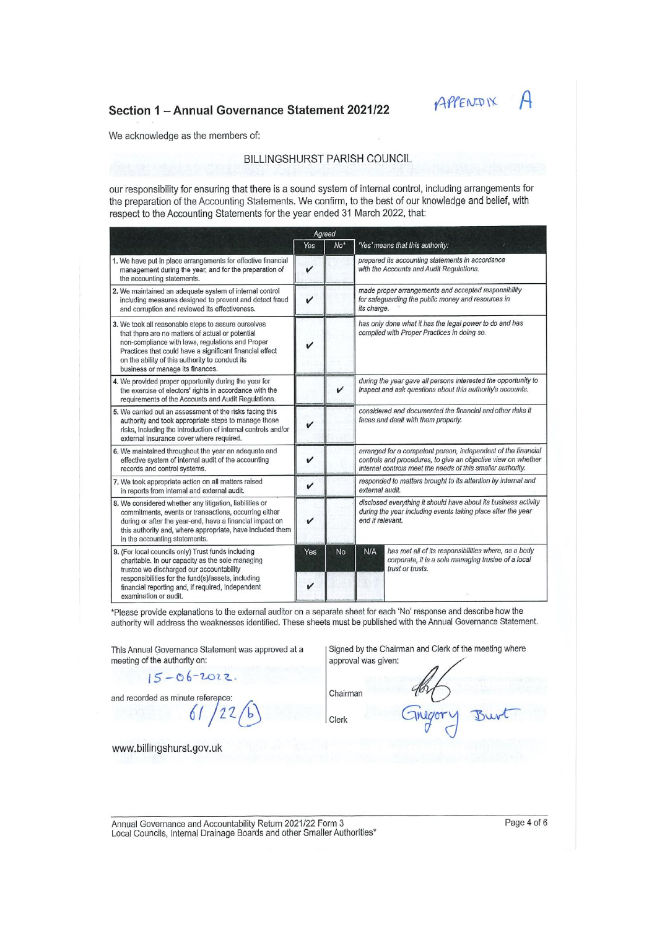## Section 1 - Annual Governance Statement 2021/22



We acknowledge as the members of:

#### **BILLINGSHURST PARISH COUNCIL**

our responsibility for ensuring that there is a sound system of internal control, including arrangements for the preparation of the Accounting Statements. We confirm, to the best of our knowledge and belief, with respect to the Accounting Statements for the year ended 31 March 2022, that:

|                                                                                                                                                                                                                                                                                                                | Agreed       |                 |                                                                                                                                                                                               |                                                                                                                                 |  |
|----------------------------------------------------------------------------------------------------------------------------------------------------------------------------------------------------------------------------------------------------------------------------------------------------------------|--------------|-----------------|-----------------------------------------------------------------------------------------------------------------------------------------------------------------------------------------------|---------------------------------------------------------------------------------------------------------------------------------|--|
|                                                                                                                                                                                                                                                                                                                | Yes          | No <sup>*</sup> |                                                                                                                                                                                               | 'Yes' means that this authority:                                                                                                |  |
| 1. We have put in place arrangements for effective financial<br>management during the year, and for the preparation of<br>the accounting statements.                                                                                                                                                           | v            |                 |                                                                                                                                                                                               | prepared its accounting statements in accordance<br>with the Accounts and Audit Regulations.                                    |  |
| 2. We maintained an adequate system of internal control<br>including measures designed to prevent and detect fraud<br>and corruption and reviewed its effectiveness.                                                                                                                                           | $\checkmark$ |                 | its charge.                                                                                                                                                                                   | made proper arrangements and accepted responsibility<br>for safeguarding the public money and resources in                      |  |
| 3. We took all reasonable steps to assure ourselves<br>that there are no matters of actual or potential<br>non-compliance with laws, regulations and Proper<br>Practices that could have a significant financial effect<br>on the ability of this authority to conduct its<br>business or manage its finances. |              |                 |                                                                                                                                                                                               | has only done what it has the legal power to do and has<br>complied with Proper Practices in doing so.                          |  |
| 4. We provided proper opportunity during the year for<br>the exercise of electors' rights in accordance with the<br>requirements of the Accounts and Audit Regulations.                                                                                                                                        |              | v               |                                                                                                                                                                                               | during the year gave all persons interested the opportunity to<br>inspect and ask questions about this authority's accounts.    |  |
| 5. We carried out an assessment of the risks facing this<br>authority and took appropriate steps to manage those<br>risks, including the introduction of internal controls and/or<br>external insurance cover where required.                                                                                  | v            |                 | considered and documented the financial and other risks it<br>faces and dealt with them properly.                                                                                             |                                                                                                                                 |  |
| 6. We maintained throughout the year an adequate and<br>effective system of internal audit of the accounting<br>records and control systems.                                                                                                                                                                   | v            |                 | arranged for a competent person, independent of the financial<br>controls and procedures, to give an objective view on whether<br>internal controls meet the needs of this smaller authority. |                                                                                                                                 |  |
| 7. We took appropriate action on all matters raised<br>in reports from internal and external audit.                                                                                                                                                                                                            | v            |                 | responded to matters brought to its attention by internal and<br>external audit.                                                                                                              |                                                                                                                                 |  |
| 8. We considered whether any litigation, liabilities or<br>commitments, events or transactions, occurring either<br>during or after the year-end, have a financial impact on<br>this authority and, where appropriate, have included them<br>in the accounting statements.                                     | v            |                 | disclosed everything it should have about its business activity<br>during the year including events taking place after the year<br>end if relevant.                                           |                                                                                                                                 |  |
| 9. (For local councils only) Trust funds including<br>charitable. In our capacity as the sole managing<br>trustee we discharged our accountability                                                                                                                                                             | Yes          | No              | N/A                                                                                                                                                                                           | has met all of its responsibilities where, as a body<br>corporate, it is a sole managing trustee of a local<br>trust or trusts. |  |
| responsibilities for the fund(s)/assets, including<br>financial reporting and, if required, independent<br>examination or audit.                                                                                                                                                                               |              |                 |                                                                                                                                                                                               |                                                                                                                                 |  |

\*Please provide explanations to the external auditor on a separate sheet for each 'No' response and describe how the authority will address the weaknesses identified. These sheets must be published with the Annual Governance Statement.

This Annual Governance Statement was approved at a meeting of the authority on:

 $15 - 06 - 2022$ 

Signed by the Chairman and Clerk of the meeting where approval was given:

and recorded as minute reference:

 $122$ 61

Clerk

Chairman

Bur

www.billingshurst.gov.uk

Annual Governance and Accountability Return 2021/22 Form 3 Local Councils, Internal Drainage Boards and other Smaller Authorities\*